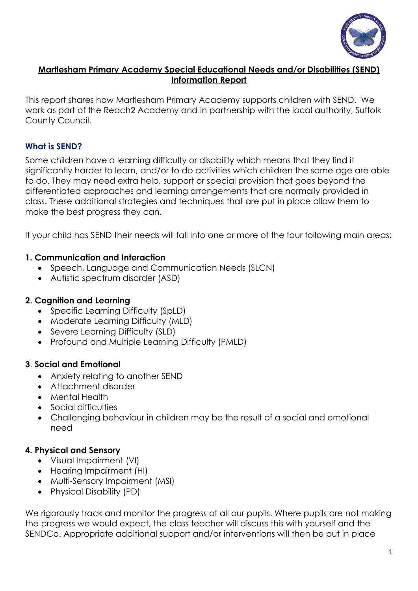

## **Martlesham Primary Academy Special Educational Needs and/or Disabilities (SEND) Information Report**

This report shares how Martlesham Primary Academy supports children with SEND. We work as part of the Reach2 Academy and in partnership with the local authority, Suffolk County Council.

## **What is SEND?**

Some children have a learning difficulty or disability which means that they find it significantly harder to learn, and/or to do activities which children the same age are able to do. They may need extra help, support or special provision that goes beyond the differentiated approaches and learning arrangements that are normally provided in class. These additional strategies and techniques that are put in place allow them to make the best progress they can.

If your child has SEND their needs will fall into one or more of the four following main areas:

## **1. Communication and Interaction**

- Speech, Language and Communication Needs (SLCN)
- Autistic spectrum disorder (ASD)

### **2. Cognition and Learning**

- Specific Learning Difficulty (SpLD)
- Moderate Learning Difficulty (MLD)
- Severe Learning Difficulty (SLD)
- Profound and Multiple Learning Difficulty (PMLD)

#### **3**. **Social and Emotional**

- Anxiety relating to another SEND
- Attachment disorder
- Mental Health
- Social difficulties
- Challenging behaviour in children may be the result of a social and emotional need

## **4. Physical and Sensory**

- Visual Impairment (VI)
- Hearing Impairment (HI)
- Multi-Sensory Impairment (MSI)
- Physical Disability (PD)

We rigorously track and monitor the progress of all our pupils. Where pupils are not making the progress we would expect, the class teacher will discuss this with yourself and the SENDCo. Appropriate additional support and/or interventions will then be put in place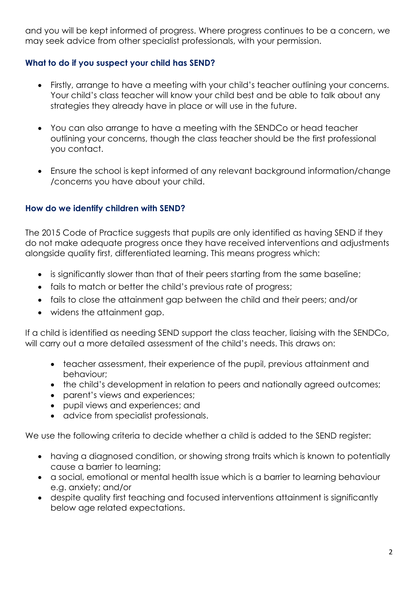and you will be kept informed of progress. Where progress continues to be a concern, we may seek advice from other specialist professionals, with your permission.

# **What to do if you suspect your child has SEND?**

- Firstly, arrange to have a meeting with your child's teacher outlining your concerns. Your child's class teacher will know your child best and be able to talk about any strategies they already have in place or will use in the future.
- You can also arrange to have a meeting with the SENDCo or head teacher outlining your concerns, though the class teacher should be the first professional you contact.
- Ensure the school is kept informed of any relevant background information/change /concerns you have about your child.

# **How do we identify children with SEND?**

The 2015 Code of Practice suggests that pupils are only identified as having SEND if they do not make adequate progress once they have received interventions and adjustments alongside quality first, differentiated learning. This means progress which:

- is significantly slower than that of their peers starting from the same baseline;
- fails to match or better the child's previous rate of progress;
- fails to close the attainment gap between the child and their peers; and/or
- widens the attainment gap.

If a child is identified as needing SEND support the class teacher, liaising with the SENDCo, will carry out a more detailed assessment of the child's needs. This draws on:

- teacher assessment, their experience of the pupil, previous attainment and behaviour;
- the child's development in relation to peers and nationally agreed outcomes;
- parent's views and experiences;
- pupil views and experiences; and
- advice from specialist professionals.

We use the following criteria to decide whether a child is added to the SEND register:

- having a diagnosed condition, or showing strong traits which is known to potentially cause a barrier to learning;
- a social, emotional or mental health issue which is a barrier to learning behaviour e.g. anxiety; and/or
- despite quality first teaching and focused interventions attainment is significantly below age related expectations.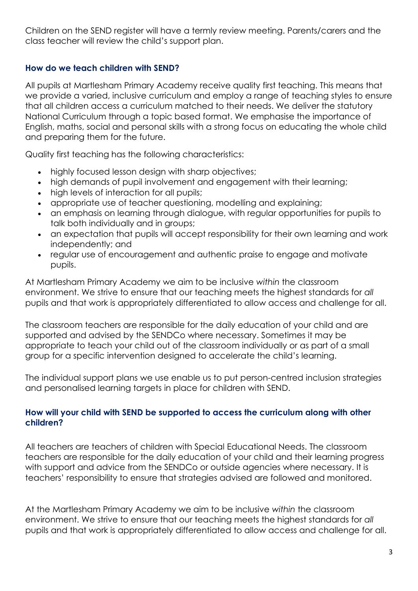Children on the SEND register will have a termly review meeting. Parents/carers and the class teacher will review the child's support plan.

## **How do we teach children with SEND?**

All pupils at Martlesham Primary Academy receive quality first teaching. This means that we provide a varied, inclusive curriculum and employ a range of teaching styles to ensure that all children access a curriculum matched to their needs. We deliver the statutory National Curriculum through a topic based format. We emphasise the importance of English, maths, social and personal skills with a strong focus on educating the whole child and preparing them for the future.

Quality first teaching has the following characteristics:

- highly focused lesson design with sharp objectives;
- high demands of pupil involvement and engagement with their learning;
- high levels of interaction for all pupils;
- appropriate use of teacher questioning, modelling and explaining;
- an emphasis on learning through dialogue, with regular opportunities for pupils to talk both individually and in groups;
- an expectation that pupils will accept responsibility for their own learning and work independently; and
- regular use of encouragement and authentic praise to engage and motivate pupils.

At Martlesham Primary Academy we aim to be inclusive *within* the classroom environment. We strive to ensure that our teaching meets the highest standards for *all* pupils and that work is appropriately differentiated to allow access and challenge for all.

The classroom teachers are responsible for the daily education of your child and are supported and advised by the SENDCo where necessary. Sometimes it may be appropriate to teach your child out of the classroom individually or as part of a small group for a specific intervention designed to accelerate the child's learning.

The individual support plans we use enable us to put person-centred inclusion strategies and personalised learning targets in place for children with SEND.

## **How will your child with SEND be supported to access the curriculum along with other children?**

All teachers are teachers of children with Special Educational Needs. The classroom teachers are responsible for the daily education of your child and their learning progress with support and advice from the SENDCo or outside agencies where necessary. It is teachers' responsibility to ensure that strategies advised are followed and monitored.

At the Martlesham Primary Academy we aim to be inclusive *within* the classroom environment. We strive to ensure that our teaching meets the highest standards for *all* pupils and that work is appropriately differentiated to allow access and challenge for all.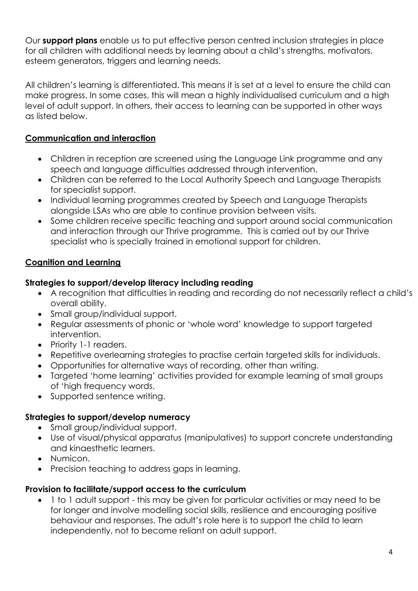Our **support plans** enable us to put effective person centred inclusion strategies in place for all children with additional needs by learning about a child's strengths, motivators, esteem generators, triggers and learning needs.

All children's learning is differentiated. This means it is set at a level to ensure the child can make progress. In some cases, this will mean a highly individualised curriculum and a high level of adult support. In others, their access to learning can be supported in other ways as listed below.

# **Communication and interaction**

- Children in reception are screened using the Language Link programme and any speech and language difficulties addressed through intervention.
- Children can be referred to the Local Authority Speech and Language Therapists for specialist support.
- Individual learning programmes created by Speech and Language Therapists alongside LSAs who are able to continue provision between visits.
- Some children receive specific teaching and support around social communication and interaction through our Thrive programme. This is carried out by our Thrive specialist who is specially trained in emotional support for children.

# **Cognition and Learning**

## **Strategies to support/develop literacy including reading**

- A recognition that difficulties in reading and recording do not necessarily reflect a child's overall ability.
- Small group/individual support.
- Regular assessments of phonic or 'whole word' knowledge to support targeted intervention.
- Priority 1-1 readers.
- Repetitive overlearning strategies to practise certain targeted skills for individuals.
- Opportunities for alternative ways of recording, other than writing.
- Targeted 'home learning' activities provided for example learning of small groups of 'high frequency words.
- Supported sentence writing.

## **Strategies to support/develop numeracy**

- Small group/individual support.
- Use of visual/physical apparatus (manipulatives) to support concrete understanding and kinaesthetic learners.
- Numicon.
- Precision teaching to address gaps in learning.

#### **Provision to facilitate/support access to the curriculum**

• 1 to 1 adult support - this may be given for particular activities or may need to be for longer and involve modelling social skills, resilience and encouraging positive behaviour and responses. The adult's role here is to support the child to learn independently, not to become reliant on adult support.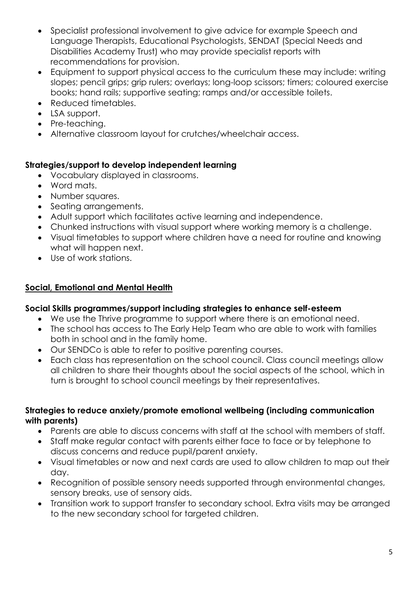- Specialist professional involvement to give advice for example Speech and Language Therapists, Educational Psychologists, SENDAT (Special Needs and Disabilities Academy Trust) who may provide specialist reports with recommendations for provision.
- Equipment to support physical access to the curriculum these may include: writing slopes; pencil grips; grip rulers; overlays; long-loop scissors; timers; coloured exercise books; hand rails; supportive seating; ramps and/or accessible toilets.
- Reduced timetables.
- LSA support.
- Pre-teaching.
- Alternative classroom layout for crutches/wheelchair access.

# **Strategies/support to develop independent learning**

- Vocabulary displayed in classrooms.
- Word mats.
- Number squares.
- Seating arrangements.
- Adult support which facilitates active learning and independence.
- Chunked instructions with visual support where working memory is a challenge.
- Visual timetables to support where children have a need for routine and knowing what will happen next.
- Use of work stations.

# **Social, Emotional and Mental Health**

## **Social Skills programmes/support including strategies to enhance self-esteem**

- We use the Thrive programme to support where there is an emotional need.
- The school has access to The Early Help Team who are able to work with families both in school and in the family home.
- Our SENDCo is able to refer to positive parenting courses.
- Each class has representation on the school council. Class council meetings allow all children to share their thoughts about the social aspects of the school, which in turn is brought to school council meetings by their representatives.

## **Strategies to reduce anxiety/promote emotional wellbeing (including communication with parents)**

- Parents are able to discuss concerns with staff at the school with members of staff.
- Staff make regular contact with parents either face to face or by telephone to discuss concerns and reduce pupil/parent anxiety.
- Visual timetables or now and next cards are used to allow children to map out their day.
- Recognition of possible sensory needs supported through environmental changes, sensory breaks, use of sensory aids.
- Transition work to support transfer to secondary school. Extra visits may be arranged to the new secondary school for targeted children.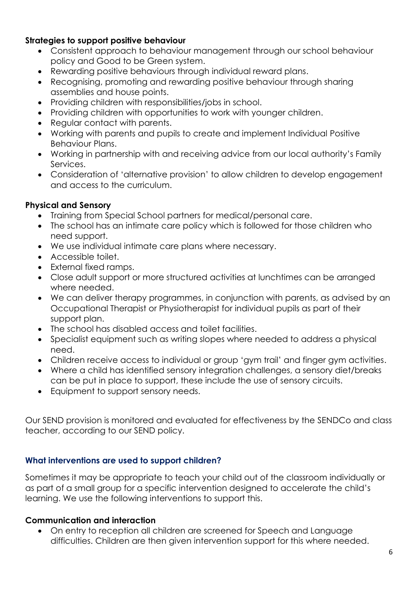## **Strategies to support positive behaviour**

- Consistent approach to behaviour management through our school behaviour policy and Good to be Green system.
- Rewarding positive behaviours through individual reward plans.
- Recognising, promoting and rewarding positive behaviour through sharing assemblies and house points.
- Providing children with responsibilities/jobs in school.
- Providing children with opportunities to work with younger children.
- Regular contact with parents.
- Working with parents and pupils to create and implement Individual Positive Behaviour Plans.
- Working in partnership with and receiving advice from our local authority's Family Services.
- Consideration of 'alternative provision' to allow children to develop engagement and access to the curriculum.

## **Physical and Sensory**

- Training from Special School partners for medical/personal care.
- The school has an intimate care policy which is followed for those children who need support.
- We use individual intimate care plans where necessary.
- Accessible toilet.
- External fixed ramps.
- Close adult support or more structured activities at lunchtimes can be arranged where needed.
- We can deliver therapy programmes, in conjunction with parents, as advised by an Occupational Therapist or Physiotherapist for individual pupils as part of their support plan.
- The school has disabled access and toilet facilities.
- Specialist equipment such as writing slopes where needed to address a physical need.
- Children receive access to individual or group 'gym trail' and finger gym activities.
- Where a child has identified sensory integration challenges, a sensory diet/breaks can be put in place to support, these include the use of sensory circuits.
- Equipment to support sensory needs.

Our SEND provision is monitored and evaluated for effectiveness by the SENDCo and class teacher, according to our SEND policy.

## **What interventions are used to support children?**

Sometimes it may be appropriate to teach your child out of the classroom individually or as part of a small group for a specific intervention designed to accelerate the child's learning. We use the following interventions to support this.

## **Communication and interaction**

• On entry to reception all children are screened for Speech and Language difficulties. Children are then given intervention support for this where needed.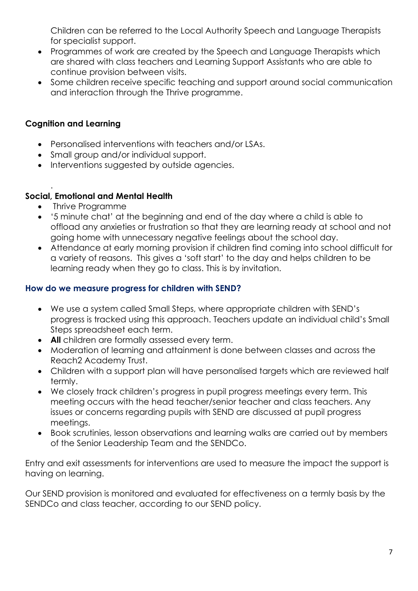Children can be referred to the Local Authority Speech and Language Therapists for specialist support.

- Programmes of work are created by the Speech and Language Therapists which are shared with class teachers and Learning Support Assistants who are able to continue provision between visits.
- Some children receive specific teaching and support around social communication and interaction through the Thrive programme.

# **Cognition and Learning**

- Personalised interventions with teachers and/or LSAs.
- Small group and/or individual support.
- Interventions suggested by outside agencies.

#### . **Social, Emotional and Mental Health**

- Thrive Programme
- '5 minute chat' at the beginning and end of the day where a child is able to offload any anxieties or frustration so that they are learning ready at school and not going home with unnecessary negative feelings about the school day.
- Attendance at early morning provision if children find coming into school difficult for a variety of reasons. This gives a 'soft start' to the day and helps children to be learning ready when they go to class. This is by invitation.

## **How do we measure progress for children with SEND?**

- We use a system called Small Steps, where appropriate children with SEND's progress is tracked using this approach. Teachers update an individual child's Small Steps spreadsheet each term.
- **All** children are formally assessed every term.
- Moderation of learning and attainment is done between classes and across the Reach2 Academy Trust.
- Children with a support plan will have personalised targets which are reviewed half termly.
- We closely track children's progress in pupil progress meetings every term. This meeting occurs with the head teacher/senior teacher and class teachers. Any issues or concerns regarding pupils with SEND are discussed at pupil progress meetings.
- Book scrutinies, lesson observations and learning walks are carried out by members of the Senior Leadership Team and the SENDCo.

Entry and exit assessments for interventions are used to measure the impact the support is having on learning.

Our SEND provision is monitored and evaluated for effectiveness on a termly basis by the SENDCo and class teacher, according to our SEND policy.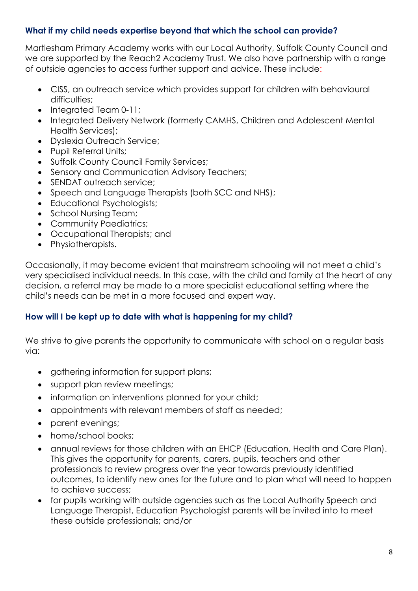# **What if my child needs expertise beyond that which the school can provide?**

Martlesham Primary Academy works with our Local Authority, Suffolk County Council and we are supported by the Reach2 Academy Trust. We also have partnership with a range of outside agencies to access further support and advice. These include:

- CISS, an outreach service which provides support for children with behavioural difficulties:
- Integrated Team 0-11;
- Integrated Delivery Network (formerly CAMHS, Children and Adolescent Mental Health Services);
- Dyslexia Outreach Service;
- Pupil Referral Units;
- Suffolk County Council Family Services;
- Sensory and Communication Advisory Teachers;
- SENDAT outreach service;
- Speech and Language Therapists (both SCC and NHS);
- Educational Psychologists;
- School Nursing Team;
- Community Paediatrics;
- Occupational Therapists; and
- Physiotherapists.

Occasionally, it may become evident that mainstream schooling will not meet a child's very specialised individual needs. In this case, with the child and family at the heart of any decision, a referral may be made to a more specialist educational setting where the child's needs can be met in a more focused and expert way.

#### **How will I be kept up to date with what is happening for my child?**

We strive to give parents the opportunity to communicate with school on a regular basis via:

- gathering information for support plans;
- support plan review meetings;
- information on interventions planned for your child;
- appointments with relevant members of staff as needed;
- parent evenings;
- home/school books;
- annual reviews for those children with an EHCP (Education, Health and Care Plan). This gives the opportunity for parents, carers, pupils, teachers and other professionals to review progress over the year towards previously identified outcomes, to identify new ones for the future and to plan what will need to happen to achieve success;
- for pupils working with outside agencies such as the Local Authority Speech and Language Therapist, Education Psychologist parents will be invited into to meet these outside professionals; and/or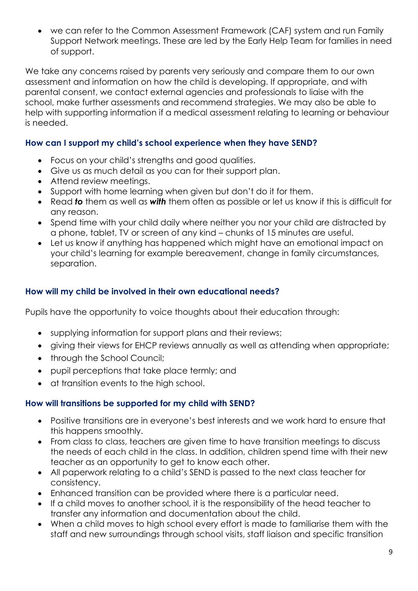• we can refer to the Common Assessment Framework (CAF) system and run Family Support Network meetings. These are led by the Early Help Team for families in need of support.

We take any concerns raised by parents very seriously and compare them to our own assessment and information on how the child is developing. If appropriate, and with parental consent, we contact external agencies and professionals to liaise with the school, make further assessments and recommend strategies. We may also be able to help with supporting information if a medical assessment relating to learning or behaviour is needed.

## **How can I support my child's school experience when they have SEND?**

- Focus on your child's strengths and good qualities.
- Give us as much detail as you can for their support plan.
- Attend review meetings.
- Support with home learning when given but don't do it for them.
- Read *to* them as well as *with* them often as possible or let us know if this is difficult for any reason.
- Spend time with your child daily where neither you nor your child are distracted by a phone, tablet, TV or screen of any kind – chunks of 15 minutes are useful.
- Let us know if anything has happened which might have an emotional impact on your child's learning for example bereavement, change in family circumstances, separation.

## **How will my child be involved in their own educational needs?**

Pupils have the opportunity to voice thoughts about their education through:

- supplying information for support plans and their reviews;
- giving their views for EHCP reviews annually as well as attending when appropriate;
- through the School Council;
- pupil perceptions that take place termly; and
- at transition events to the high school.

#### **How will transitions be supported for my child with SEND?**

- Positive transitions are in everyone's best interests and we work hard to ensure that this happens smoothly.
- From class to class, teachers are given time to have transition meetings to discuss the needs of each child in the class. In addition, children spend time with their new teacher as an opportunity to get to know each other.
- All paperwork relating to a child's SEND is passed to the next class teacher for consistency.
- Enhanced transition can be provided where there is a particular need.
- If a child moves to another school, it is the responsibility of the head teacher to transfer any information and documentation about the child.
- When a child moves to high school every effort is made to familiarise them with the staff and new surroundings through school visits, staff liaison and specific transition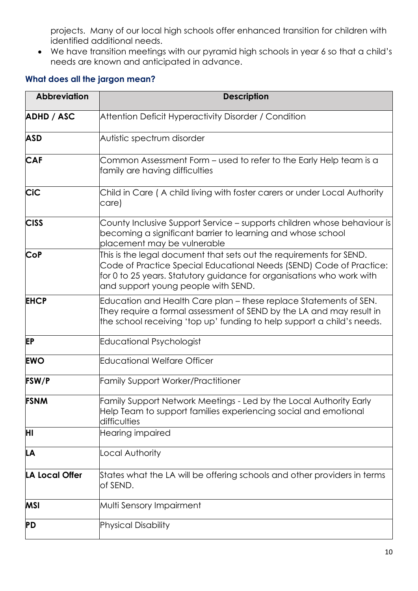projects. Many of our local high schools offer enhanced transition for children with identified additional needs.

• We have transition meetings with our pyramid high schools in year 6 so that a child's needs are known and anticipated in advance.

# **What does all the jargon mean?**

| <b>Abbreviation</b>   | <b>Description</b>                                                                                                                                                                                                                                         |
|-----------------------|------------------------------------------------------------------------------------------------------------------------------------------------------------------------------------------------------------------------------------------------------------|
| <b>ADHD / ASC</b>     | Attention Deficit Hyperactivity Disorder / Condition                                                                                                                                                                                                       |
| <b>ASD</b>            | Autistic spectrum disorder                                                                                                                                                                                                                                 |
| <b>CAF</b>            | Common Assessment Form – used to refer to the Early Help team is a<br>family are having difficulties                                                                                                                                                       |
| <b>CiC</b>            | Child in Care (A child living with foster carers or under Local Authority<br>care)                                                                                                                                                                         |
| <b>CISS</b>           | County Inclusive Support Service - supports children whose behaviour is<br>becoming a significant barrier to learning and whose school<br>placement may be vulnerable                                                                                      |
| <b>CoP</b>            | This is the legal document that sets out the requirements for SEND.<br>Code of Practice Special Educational Needs (SEND) Code of Practice:<br>for 0 to 25 years. Statutory guidance for organisations who work with<br>and support young people with SEND. |
| <b>EHCP</b>           | Education and Health Care plan - these replace Statements of SEN.<br>They require a formal assessment of SEND by the LA and may result in<br>the school receiving 'top up' funding to help support a child's needs.                                        |
| <b>EP</b>             | Educational Psychologist                                                                                                                                                                                                                                   |
| <b>EWO</b>            | <b>Educational Welfare Officer</b>                                                                                                                                                                                                                         |
| <b>FSW/P</b>          | <b>Family Support Worker/Practitioner</b>                                                                                                                                                                                                                  |
| <b>FSNM</b>           | Family Support Network Meetings - Led by the Local Authority Early<br>Help Team to support families experiencing social and emotional<br>difficulties                                                                                                      |
| ΗI                    | Hearing impaired                                                                                                                                                                                                                                           |
| LA                    | Local Authority                                                                                                                                                                                                                                            |
| <b>LA Local Offer</b> | States what the LA will be offering schools and other providers in terms<br>of SEND.                                                                                                                                                                       |
| <b>MSI</b>            | Multi Sensory Impairment                                                                                                                                                                                                                                   |
| PD                    | Physical Disability                                                                                                                                                                                                                                        |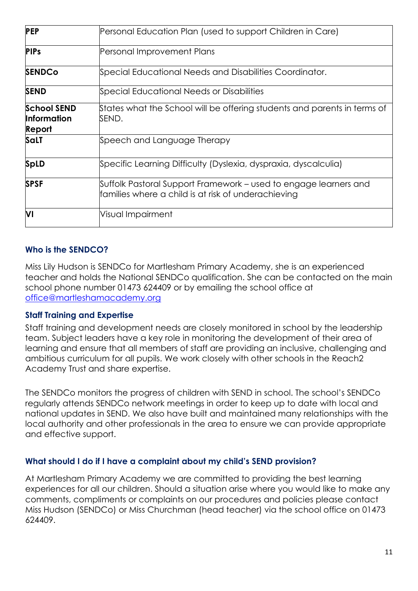| <b>PEP</b>                                         | Personal Education Plan (used to support Children in Care)                                                              |
|----------------------------------------------------|-------------------------------------------------------------------------------------------------------------------------|
| <b>PIPs</b>                                        | Personal Improvement Plans                                                                                              |
| <b>SENDCo</b>                                      | Special Educational Needs and Disabilities Coordinator.                                                                 |
| <b>SEND</b>                                        | Special Educational Needs or Disabilities                                                                               |
| <b>School SEND</b><br><b>Information</b><br>Report | States what the School will be offering students and parents in terms of<br>SEND.                                       |
| <b>SaLT</b>                                        | Speech and Language Therapy                                                                                             |
| <b>SpLD</b>                                        | Specific Learning Difficulty (Dyslexia, dyspraxia, dyscalculia)                                                         |
| <b>SPSF</b>                                        | Suffolk Pastoral Support Framework – used to engage learners and<br>families where a child is at risk of underachieving |
| VI                                                 | Visual Impairment                                                                                                       |

## **Who is the SENDCO?**

Miss Lily Hudson is SENDCo for Martlesham Primary Academy, she is an experienced teacher and holds the National SENDCo qualification. She can be contacted on the main school phone number 01473 624409 or by emailing the school office at [office@martleshamacademy.org](mailto:office@martleshamacademy.org)

#### **Staff Training and Expertise**

Staff training and development needs are closely monitored in school by the leadership team. Subject leaders have a key role in monitoring the development of their area of learning and ensure that all members of staff are providing an inclusive, challenging and ambitious curriculum for all pupils. We work closely with other schools in the Reach2 Academy Trust and share expertise.

The SENDCo monitors the progress of children with SEND in school. The school's SENDCo regularly attends SENDCo network meetings in order to keep up to date with local and national updates in SEND. We also have built and maintained many relationships with the local authority and other professionals in the area to ensure we can provide appropriate and effective support.

#### **What should I do if I have a complaint about my child's SEND provision?**

At Martlesham Primary Academy we are committed to providing the best learning experiences for all our children. Should a situation arise where you would like to make any comments, compliments or complaints on our procedures and policies please contact Miss Hudson (SENDCo) or Miss Churchman (head teacher) via the school office on 01473 624409.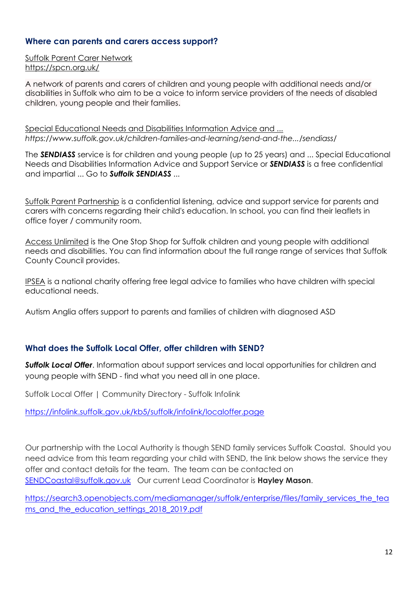#### **Where can parents and carers access support?**

[Suffolk Parent Carer Network](https://spcn.org.uk/) <https://spcn.org.uk/>

A network of parents and carers of children and young people with additional needs and/or disabilities in Suffolk who aim to be a voice to inform service providers of the needs of disabled children, young people and their families.

[Special Educational Needs and Disabilities Information Advice and ...](https://www.suffolk.gov.uk/children-families-and-learning/send-and-the-local-offer/sendiass/) *https://www.suffolk.gov.uk/children-families-and-learning/send-and-the.../sendiass/*

The *SENDIASS* service is for children and young people (up to 25 years) and ... Special Educational Needs and Disabilities Information Advice and Support Service or *SENDIASS* is a free confidential and impartial ... Go to *Suffolk SENDIASS* ...

[Suffolk Parent Partnership](http://www.suffolk.gov.uk/parentpartnership) is a confidential listening, advice and support service for parents and carers with concerns regarding their child's education. In school, you can find their leaflets in office foyer / community room.

[Access Unlimited](https://www.access-unlimited.co.uk/) is the One Stop Shop for Suffolk children and young people with additional needs and disabilities. You can find information about the full range range of services that Suffolk County Council provides.

[IPSEA](http://www.ipsea.org.uk/) is a national charity offering free legal advice to families who have children with special educational needs.

Autism Anglia offers support to parents and families of children with diagnosed ASD

#### **What does the Suffolk Local Offer, offer children with SEND?**

*Suffolk Local Offer*. Information about support services and local opportunities for children and young people with SEND - find what you need all in one place.

Suffolk Local Offer | Community Directory - Suffolk Infolink

<https://infolink.suffolk.gov.uk/kb5/suffolk/infolink/localoffer.page>

Our partnership with the Local Authority is though SEND family services Suffolk Coastal. Should you need advice from this team regarding your child with SEND, the link below shows the service they offer and contact details for the team. The team can be contacted on [SENDCoastal@suffolk.gov.uk](mailto:SENDCoastal@suffolk.gov.uk) Our current Lead Coordinator is **Hayley Mason**.

[https://search3.openobjects.com/mediamanager/suffolk/enterprise/files/family\\_services\\_the\\_tea](https://search3.openobjects.com/mediamanager/suffolk/enterprise/files/family_services_the_teams_and_the_education_settings_2018_2019.pdf) [ms\\_and\\_the\\_education\\_settings\\_2018\\_2019.pdf](https://search3.openobjects.com/mediamanager/suffolk/enterprise/files/family_services_the_teams_and_the_education_settings_2018_2019.pdf)